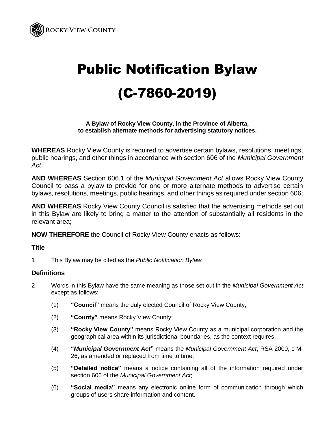

# Public Notification Bylaw (C-7860-2019)

## **A Bylaw of Rocky View County, in the Province of Alberta, to establish alternate methods for advertising statutory notices.**

**WHEREAS** Rocky View County is required to advertise certain bylaws, resolutions, meetings, public hearings, and other things in accordance with section 606 of the *Municipal Government Act*;

**AND WHEREAS** Section 606.1 of the *Municipal Government Act* allows Rocky View County Council to pass a bylaw to provide for one or more alternate methods to advertise certain bylaws, resolutions, meetings, public hearings, and other things as required under section 606;

**AND WHEREAS** Rocky View County Council is satisfied that the advertising methods set out in this Bylaw are likely to bring a matter to the attention of substantially all residents in the relevant area;

**NOW THEREFORE** the Council of Rocky View County enacts as follows:

## **Title**

1 This Bylaw may be cited as the *Public Notification Bylaw.*

## **Definitions**

- 2 Words in this Bylaw have the same meaning as those set out in the *Municipal Government Act* except as follows:
	- (1) **"Council"** means the duly elected Council of Rocky View County;
	- (2) **"County"** means Rocky View County;
	- (3) **"Rocky View County"** means Rocky View County as a municipal corporation and the geographical area within its jurisdictional boundaries, as the context requires.
	- (4) **"***Municipal Government Act***"** means the *Municipal Government Act*, RSA 2000, c M-26, as amended or replaced from time to time;
	- (5) **"Detailed notice"** means a notice containing all of the information required under section 606 of the *Municipal Government Act*;
	- (6) **"Social media"** means any electronic online form of communication through which groups of users share information and content.